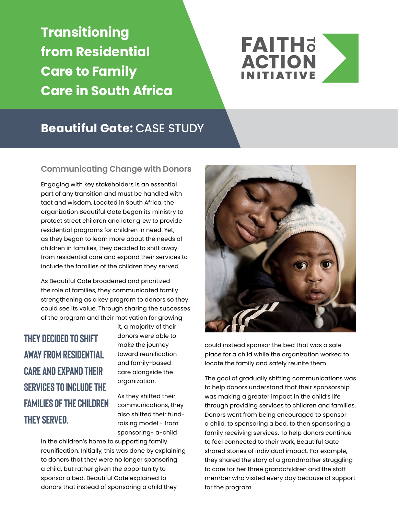**Transitioning from Residential Care to Family Care in South Africa**



## **Beautiful Gate:** CASE STUDY

#### **Communicating Change with Donors**

Engaging with key stakeholders is an essential part of any transition and must be handled with tact and wisdom. Located in South Africa, the organization Beautiful Gate began its ministry to protect street children and later grew to provide residential programs for children in need. Yet, as they began to learn more about the needs of children in families, they decided to shift away from residential care and expand their services to include the families of the children they served.

As Beautiful Gate broadened and prioritized the role of families, they communicated family strengthening as a key program to donors so they could see its value. Through sharing the successes of the program and their motivation for growing

**they decided to shift away from residential care and expand their services to include the families of the children they served.**

it, a majority of their donors were able to make the journey toward reunification and family-based care alongside the organization.

As they shifted their communications, they also shifted their fundraising model - from sponsoring- a-child

in the children's home to supporting family reunification. Initially, this was done by explaining to donors that they were no longer sponsoring a child, but rather given the opportunity to sponsor a bed. Beautiful Gate explained to donors that instead of sponsoring a child they



could instead sponsor the bed that was a safe place for a child while the organization worked to locate the family and safely reunite them.

The goal of gradually shifting communications was to help donors understand that their sponsorship was making a greater impact in the child's life through providing services to children and families. Donors went from being encouraged to sponsor a child, to sponsoring a bed, to then sponsoring a family receiving services. To help donors continue to feel connected to their work, Beautiful Gate shared stories of individual impact. For example, they shared the story of a grandmother struggling to care for her three grandchildren and the staff member who visited every day because of support for the program.